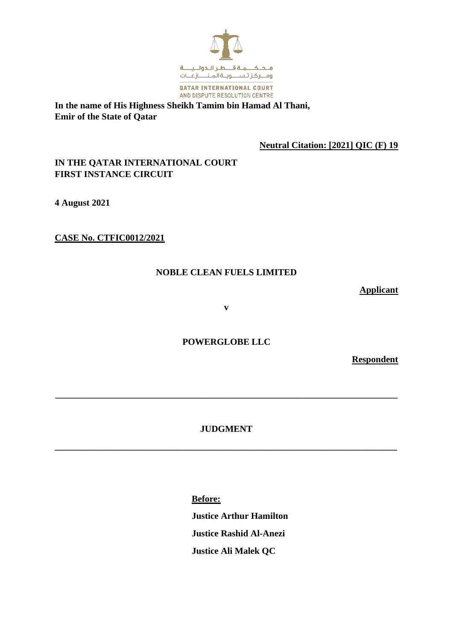

**In the name of His Highness Sheikh Tamim bin Hamad Al Thani, Emir of the State of Qatar**

**Neutral Citation: [2021] QIC (F) 19**

# **IN THE QATAR INTERNATIONAL COURT FIRST INSTANCE CIRCUIT**

**4 August 2021**

**CASE No. CTFIC0012/2021**

## **NOBLE CLEAN FUELS LIMITED**

**Applicant**

**v**

**POWERGLOBE LLC**

**Respondent**

# **JUDGMENT**

**\_\_\_\_\_\_\_\_\_\_\_\_\_\_\_\_\_\_\_\_\_\_\_\_\_\_\_\_\_\_\_\_\_\_\_\_\_\_\_\_\_\_\_\_\_\_\_\_\_\_\_\_\_\_\_\_\_\_\_\_\_\_\_\_\_\_\_\_\_\_\_\_\_\_\_**

**\_\_\_\_\_\_\_\_\_\_\_\_\_\_\_\_\_\_\_\_\_\_\_\_\_\_\_\_\_\_\_\_\_\_\_\_\_\_\_\_\_\_\_\_\_\_\_\_\_\_\_\_\_\_\_\_\_\_\_\_\_\_\_\_\_\_\_\_\_\_\_\_\_\_\_**

**Before: Justice Arthur Hamilton Justice Rashid Al-Anezi Justice Ali Malek QC**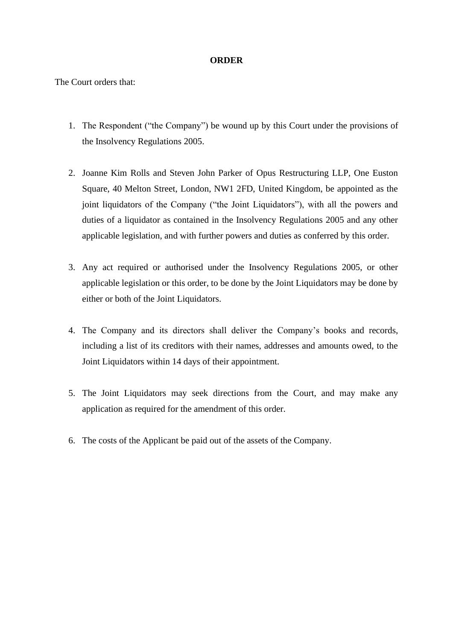### **ORDER**

The Court orders that:

- 1. The Respondent ("the Company") be wound up by this Court under the provisions of the Insolvency Regulations 2005.
- 2. Joanne Kim Rolls and Steven John Parker of Opus Restructuring LLP, One Euston Square, 40 Melton Street, London, NW1 2FD, United Kingdom, be appointed as the joint liquidators of the Company ("the Joint Liquidators"), with all the powers and duties of a liquidator as contained in the Insolvency Regulations 2005 and any other applicable legislation, and with further powers and duties as conferred by this order.
- 3. Any act required or authorised under the Insolvency Regulations 2005, or other applicable legislation or this order, to be done by the Joint Liquidators may be done by either or both of the Joint Liquidators.
- 4. The Company and its directors shall deliver the Company's books and records, including a list of its creditors with their names, addresses and amounts owed, to the Joint Liquidators within 14 days of their appointment.
- 5. The Joint Liquidators may seek directions from the Court, and may make any application as required for the amendment of this order.
- 6. The costs of the Applicant be paid out of the assets of the Company.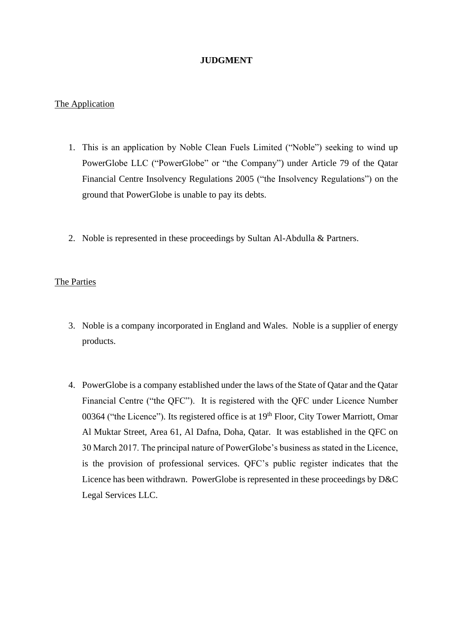## **JUDGMENT**

### The Application

- 1. This is an application by Noble Clean Fuels Limited ("Noble") seeking to wind up PowerGlobe LLC ("PowerGlobe" or "the Company") under Article 79 of the Qatar Financial Centre Insolvency Regulations 2005 ("the Insolvency Regulations") on the ground that PowerGlobe is unable to pay its debts.
- 2. Noble is represented in these proceedings by Sultan Al-Abdulla & Partners.

## The Parties

- 3. Noble is a company incorporated in England and Wales. Noble is a supplier of energy products.
- 4. PowerGlobe is a company established under the laws of the State of Qatar and the Qatar Financial Centre ("the QFC"). It is registered with the QFC under Licence Number 00364 ("the Licence"). Its registered office is at 19<sup>th</sup> Floor, City Tower Marriott, Omar Al Muktar Street, Area 61, Al Dafna, Doha, Qatar. It was established in the QFC on 30 March 2017. The principal nature of PowerGlobe's business as stated in the Licence, is the provision of professional services. QFC's public register indicates that the Licence has been withdrawn. PowerGlobe is represented in these proceedings by D&C Legal Services LLC.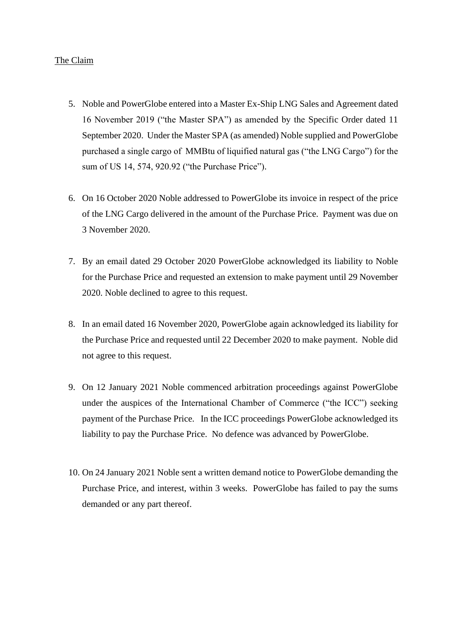### The Claim

- 5. Noble and PowerGlobe entered into a Master Ex-Ship LNG Sales and Agreement dated 16 November 2019 ("the Master SPA") as amended by the Specific Order dated 11 September 2020. Under the Master SPA (as amended) Noble supplied and PowerGlobe purchased a single cargo of MMBtu of liquified natural gas ("the LNG Cargo") for the sum of US 14, 574, 920.92 ("the Purchase Price").
- 6. On 16 October 2020 Noble addressed to PowerGlobe its invoice in respect of the price of the LNG Cargo delivered in the amount of the Purchase Price. Payment was due on 3 November 2020.
- 7. By an email dated 29 October 2020 PowerGlobe acknowledged its liability to Noble for the Purchase Price and requested an extension to make payment until 29 November 2020. Noble declined to agree to this request.
- 8. In an email dated 16 November 2020, PowerGlobe again acknowledged its liability for the Purchase Price and requested until 22 December 2020 to make payment. Noble did not agree to this request.
- 9. On 12 January 2021 Noble commenced arbitration proceedings against PowerGlobe under the auspices of the International Chamber of Commerce ("the ICC") seeking payment of the Purchase Price. In the ICC proceedings PowerGlobe acknowledged its liability to pay the Purchase Price. No defence was advanced by PowerGlobe.
- 10. On 24 January 2021 Noble sent a written demand notice to PowerGlobe demanding the Purchase Price, and interest, within 3 weeks. PowerGlobe has failed to pay the sums demanded or any part thereof.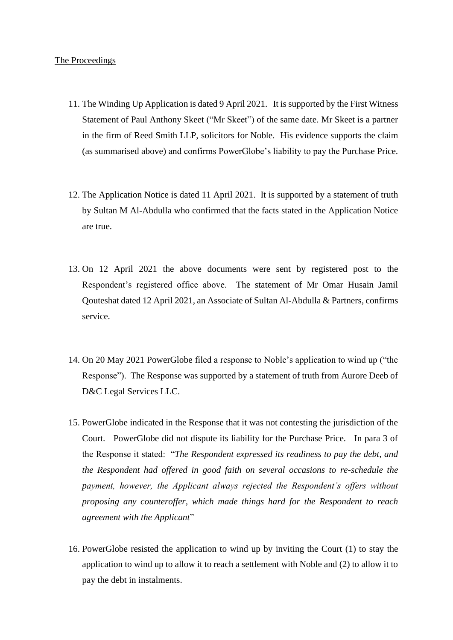#### The Proceedings

- 11. The Winding Up Application is dated 9 April 2021. It is supported by the First Witness Statement of Paul Anthony Skeet ("Mr Skeet") of the same date. Mr Skeet is a partner in the firm of Reed Smith LLP, solicitors for Noble. His evidence supports the claim (as summarised above) and confirms PowerGlobe's liability to pay the Purchase Price.
- 12. The Application Notice is dated 11 April 2021. It is supported by a statement of truth by Sultan M Al-Abdulla who confirmed that the facts stated in the Application Notice are true.
- 13. On 12 April 2021 the above documents were sent by registered post to the Respondent's registered office above. The statement of Mr Omar Husain Jamil Qouteshat dated 12 April 2021, an Associate of Sultan Al-Abdulla & Partners, confirms service.
- 14. On 20 May 2021 PowerGlobe filed a response to Noble's application to wind up ("the Response"). The Response was supported by a statement of truth from Aurore Deeb of D&C Legal Services LLC.
- 15. PowerGlobe indicated in the Response that it was not contesting the jurisdiction of the Court. PowerGlobe did not dispute its liability for the Purchase Price. In para 3 of the Response it stated: "*The Respondent expressed its readiness to pay the debt, and the Respondent had offered in good faith on several occasions to re-schedule the payment, however, the Applicant always rejected the Respondent's offers without proposing any counteroffer, which made things hard for the Respondent to reach agreement with the Applicant*"
- 16. PowerGlobe resisted the application to wind up by inviting the Court (1) to stay the application to wind up to allow it to reach a settlement with Noble and (2) to allow it to pay the debt in instalments.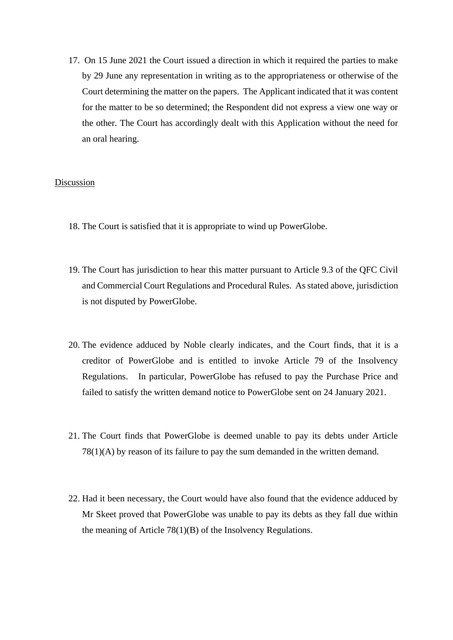17. On 15 June 2021 the Court issued a direction in which it required the parties to make by 29 June any representation in writing as to the appropriateness or otherwise of the Court determining the matter on the papers. The Applicant indicated that it was content for the matter to be so determined; the Respondent did not express a view one way or the other. The Court has accordingly dealt with this Application without the need for an oral hearing.

### Discussion

- 18. The Court is satisfied that it is appropriate to wind up PowerGlobe.
- 19. The Court has jurisdiction to hear this matter pursuant to Article 9.3 of the QFC Civil and Commercial Court Regulations and Procedural Rules. As stated above, jurisdiction is not disputed by PowerGlobe.
- 20. The evidence adduced by Noble clearly indicates, and the Court finds, that it is a creditor of PowerGlobe and is entitled to invoke Article 79 of the Insolvency Regulations. In particular, PowerGlobe has refused to pay the Purchase Price and failed to satisfy the written demand notice to PowerGlobe sent on 24 January 2021.
- 21. The Court finds that PowerGlobe is deemed unable to pay its debts under Article 78(1)(A) by reason of its failure to pay the sum demanded in the written demand.
- 22. Had it been necessary, the Court would have also found that the evidence adduced by Mr Skeet proved that PowerGlobe was unable to pay its debts as they fall due within the meaning of Article 78(1)(B) of the Insolvency Regulations.